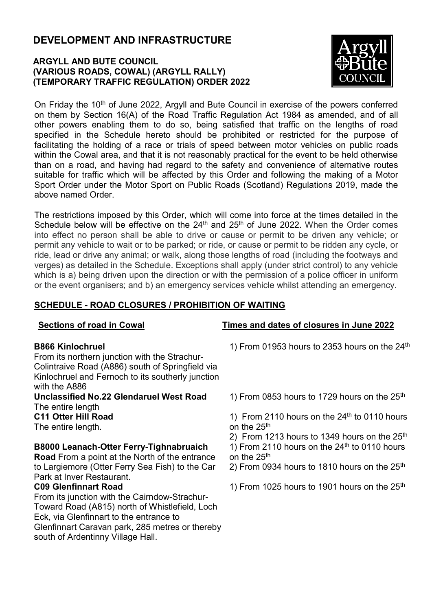# DEVELOPMENT AND INFRASTRUCTURE

### ARGYLL AND BUTE COUNCIL (VARIOUS ROADS, COWAL) (ARGYLL RALLY) (TEMPORARY TRAFFIC REGULATION) ORDER 2022



On Friday the 10<sup>th</sup> of June 2022, Argyll and Bute Council in exercise of the powers conferred on them by Section 16(A) of the Road Traffic Regulation Act 1984 as amended, and of all other powers enabling them to do so, being satisfied that traffic on the lengths of road specified in the Schedule hereto should be prohibited or restricted for the purpose of facilitating the holding of a race or trials of speed between motor vehicles on public roads within the Cowal area, and that it is not reasonably practical for the event to be held otherwise than on a road, and having had regard to the safety and convenience of alternative routes suitable for traffic which will be affected by this Order and following the making of a Motor Sport Order under the Motor Sport on Public Roads (Scotland) Regulations 2019, made the above named Order.

The restrictions imposed by this Order, which will come into force at the times detailed in the Schedule below will be effective on the  $24<sup>th</sup>$  and  $25<sup>th</sup>$  of June 2022. When the Order comes into effect no person shall be able to drive or cause or permit to be driven any vehicle; or permit any vehicle to wait or to be parked; or ride, or cause or permit to be ridden any cycle, or ride, lead or drive any animal; or walk, along those lengths of road (including the footways and verges) as detailed in the Schedule. Exceptions shall apply (under strict control) to any vehicle which is a) being driven upon the direction or with the permission of a police officer in uniform or the event organisers; and b) an emergency services vehicle whilst attending an emergency.

### SCHEDULE - ROAD CLOSURES / PROHIBITION OF WAITING

#### B866 Kinlochruel

From its northern junction with the Strachur-Colintraive Road (A886) south of Springfield via Kinlochruel and Fernoch to its southerly junction with the A886

Unclassified No.22 Glendaruel West Road The entire length

#### C11 Otter Hill Road

The entire length.

#### B8000 Leanach-Otter Ferry-Tighnabruaich

Road From a point at the North of the entrance to Largiemore (Otter Ferry Sea Fish) to the Car Park at Inver Restaurant.

#### C09 Glenfinnart Road

From its junction with the Cairndow-Strachur-Toward Road (A815) north of Whistlefield, Loch Eck, via Glenfinnart to the entrance to Glenfinnart Caravan park, 285 metres or thereby south of Ardentinny Village Hall.

#### Sections of road in Cowal Times and dates of closures in June 2022

1) From 01953 hours to 2353 hours on the  $24<sup>th</sup>$ 

1) From 0853 hours to 1729 hours on the  $25<sup>th</sup>$ 

1) From 2110 hours on the  $24<sup>th</sup>$  to 0110 hours on the 25<sup>th</sup>

2) From 1213 hours to 1349 hours on the  $25<sup>th</sup>$ 1) From 2110 hours on the  $24<sup>th</sup>$  to 0110 hours on the 25<sup>th</sup>

- 2) From 0934 hours to 1810 hours on the  $25<sup>th</sup>$
- 1) From 1025 hours to 1901 hours on the  $25<sup>th</sup>$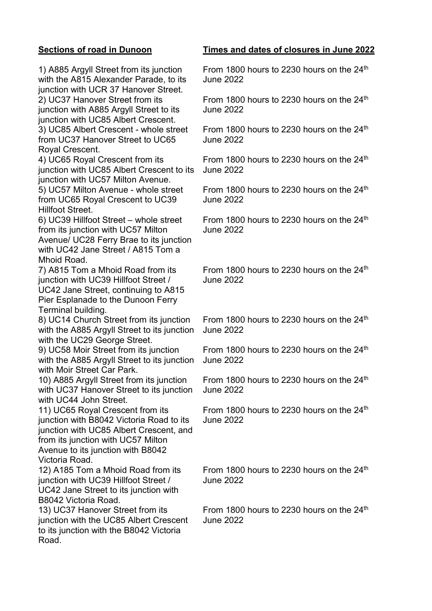1) A885 Argyll Street from its junction with the A815 Alexander Parade, to its junction with UCR 37 Hanover Street. 2) UC37 Hanover Street from its junction with A885 Argyll Street to its junction with UC85 Albert Crescent. 3) UC85 Albert Crescent - whole street

from UC37 Hanover Street to UC65 Royal Crescent.

4) UC65 Royal Crescent from its junction with UC85 Albert Crescent to its junction with UC57 Milton Avenue.

5) UC57 Milton Avenue - whole street from UC65 Royal Crescent to UC39 Hillfoot Street.

6) UC39 Hillfoot Street – whole street from its junction with UC57 Milton Avenue/ UC28 Ferry Brae to its junction with UC42 Jane Street / A815 Tom a Mhoid Road.

7) A815 Tom a Mhoid Road from its junction with UC39 Hillfoot Street / UC42 Jane Street, continuing to A815 Pier Esplanade to the Dunoon Ferry Terminal building.

8) UC14 Church Street from its junction with the A885 Argyll Street to its junction with the UC29 George Street.

9) UC58 Moir Street from its junction with the A885 Argyll Street to its junction with Moir Street Car Park.

10) A885 Argyll Street from its junction with UC37 Hanover Street to its junction with UC44 John Street.

11) UC65 Royal Crescent from its junction with B8042 Victoria Road to its junction with UC85 Albert Crescent, and from its junction with UC57 Milton Avenue to its junction with B8042 Victoria Road.

12) A185 Tom a Mhoid Road from its junction with UC39 Hillfoot Street / UC42 Jane Street to its junction with B8042 Victoria Road.

13) UC37 Hanover Street from its junction with the UC85 Albert Crescent to its junction with the B8042 Victoria Road.

#### Sections of road in Dunoon Times and dates of closures in June 2022

From 1800 hours to 2230 hours on the  $24<sup>th</sup>$ June 2022

From 1800 hours to 2230 hours on the 24th June 2022

From 1800 hours to 2230 hours on the  $24<sup>th</sup>$ June 2022

From 1800 hours to 2230 hours on the  $24<sup>th</sup>$ June 2022

From 1800 hours to 2230 hours on the  $24<sup>th</sup>$ June 2022

From 1800 hours to 2230 hours on the  $24<sup>th</sup>$ June 2022

From 1800 hours to 2230 hours on the  $24<sup>th</sup>$ June 2022

From 1800 hours to 2230 hours on the 24<sup>th</sup> June 2022

From 1800 hours to 2230 hours on the  $24<sup>th</sup>$ June 2022

From 1800 hours to 2230 hours on the  $24<sup>th</sup>$ June 2022

From 1800 hours to 2230 hours on the  $24<sup>th</sup>$ June 2022

From 1800 hours to 2230 hours on the  $24<sup>th</sup>$ June 2022

From 1800 hours to 2230 hours on the  $24<sup>th</sup>$ June 2022